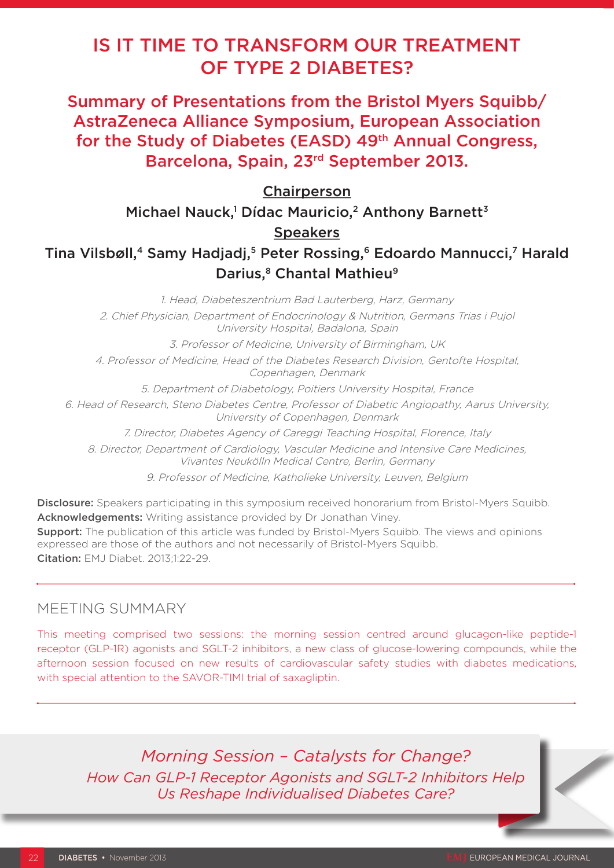# IS IT TIME TO TRANSFORM OUR TREATMENT OF TYPE 2 DIABETES?

Summary of Presentations from the Bristol Myers Squibb/ AstraZeneca Alliance Symposium, European Association for the Study of Diabetes (EASD) 49<sup>th</sup> Annual Congress, Barcelona, Spain, 23rd September 2013.

**Chairperson** 

Michael Nauck,<sup>1</sup> Dídac Mauricio,<sup>2</sup> Anthony Barnett<sup>3</sup>

### **Speakers**

## Tina Vilsbøll,<sup>4</sup> Samy Hadjadj,<sup>5</sup> Peter Rossing,<sup>6</sup> Edoardo Mannucci,7 Harald Darius,<sup>8</sup> Chantal Mathieu<sup>9</sup>

1. Head, Diabeteszentrium Bad Lauterberg, Harz, Germany 2. Chief Physician, Department of Endocrinology & Nutrition, Germans Trias i Pujol University Hospital, Badalona, Spain 3. Professor of Medicine, University of Birmingham, UK 4. Professor of Medicine, Head of the Diabetes Research Division, Gentofte Hospital, Copenhagen, Denmark 5. Department of Diabetology, Poitiers University Hospital, France 6. Head of Research, Steno Diabetes Centre, Professor of Diabetic Angiopathy, Aarus University, University of Copenhagen, Denmark 7. Director, Diabetes Agency of Careggi Teaching Hospital, Florence, Italy 8. Director, Department of Cardiology, Vascular Medicine and Intensive Care Medicines, Vivantes Neukölln Medical Centre, Berlin, Germany 9. Professor of Medicine, Katholieke University, Leuven, Belgium

Disclosure: Speakers participating in this symposium received honorarium from Bristol-Myers Squibb. Acknowledgements: Writing assistance provided by Dr Jonathan Viney. **Support:** The publication of this article was funded by Bristol-Myers Squibb. The views and opinions expressed are those of the authors and not necessarily of Bristol-Myers Squibb.

Citation: EMJ Diabet. 2013;1:22-29.

### MEETING SUMMARY

This meeting comprised two sessions: the morning session centred around glucagon-like peptide-1 receptor (GLP-1R) agonists and SGLT-2 inhibitors, a new class of glucose-lowering compounds, while the afternoon session focused on new results of cardiovascular safety studies with diabetes medications, with special attention to the SAVOR-TIMI trial of saxagliptin.

*Morning Session – Catalysts for Change? How Can GLP-1 Receptor Agonists and SGLT-2 Inhibitors Help Us Reshape Individualised Diabetes Care?*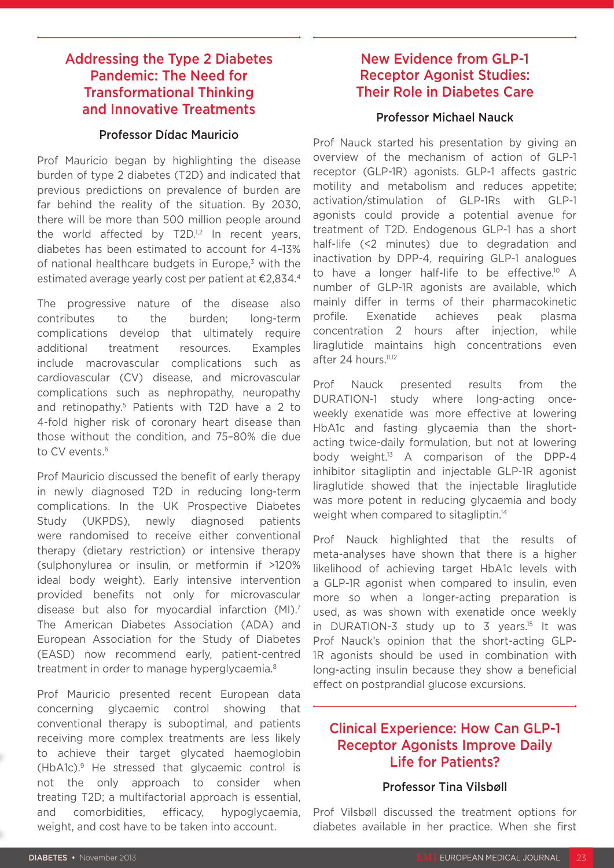### Addressing the Type 2 Diabetes Pandemic: The Need for Transformational Thinking and Innovative Treatments

#### Professor Dídac Mauricio

Prof Mauricio began by highlighting the disease burden of type 2 diabetes (T2D) and indicated that previous predictions on prevalence of burden are far behind the reality of the situation. By 2030, there will be more than 500 million people around the world affected by  $T2D^{1,2}$  In recent years, diabetes has been estimated to account for 4–13% of national healthcare budgets in Europe, $3$  with the estimated average yearly cost per patient at €2,834.4

The progressive nature of the disease also contributes to the burden; long-term complications develop that ultimately require additional treatment resources. Examples include macrovascular complications such as cardiovascular (CV) disease, and microvascular complications such as nephropathy, neuropathy and retinopathy.5 Patients with T2D have a 2 to 4-fold higher risk of coronary heart disease than those without the condition, and 75–80% die due to CV events.<sup>6</sup>

Prof Mauricio discussed the benefit of early therapy in newly diagnosed T2D in reducing long-term complications. In the UK Prospective Diabetes Study (UKPDS), newly diagnosed patients were randomised to receive either conventional therapy (dietary restriction) or intensive therapy (sulphonylurea or insulin, or metformin if >120% ideal body weight). Early intensive intervention provided benefits not only for microvascular disease but also for myocardial infarction (MI).7 The American Diabetes Association (ADA) and European Association for the Study of Diabetes (EASD) now recommend early, patient-centred treatment in order to manage hyperglycaemia.8

Prof Mauricio presented recent European data concerning glycaemic control showing that conventional therapy is suboptimal, and patients receiving more complex treatments are less likely to achieve their target glycated haemoglobin (HbA1c).9 He stressed that glycaemic control is not the only approach to consider when treating T2D; a multifactorial approach is essential, and comorbidities, efficacy, hypoglycaemia, weight, and cost have to be taken into account.

### New Evidence from GLP-1 Receptor Agonist Studies: Their Role in Diabetes Care

#### Professor Michael Nauck

Prof Nauck started his presentation by giving an overview of the mechanism of action of GLP-1 receptor (GLP-1R) agonists. GLP-1 affects gastric motility and metabolism and reduces appetite; activation/stimulation of GLP-1Rs with GLP-1 agonists could provide a potential avenue for treatment of T2D. Endogenous GLP-1 has a short half-life (<2 minutes) due to degradation and inactivation by DPP-4, requiring GLP-1 analogues to have a longer half-life to be effective.<sup>10</sup> A number of GLP-1R agonists are available, which mainly differ in terms of their pharmacokinetic profile. Exenatide achieves peak plasma concentration 2 hours after injection, while liraglutide maintains high concentrations even after 24 hours.<sup>11,12</sup>

Prof Nauck presented results from the DURATION-1 study where long-acting onceweekly exenatide was more effective at lowering HbA1c and fasting glycaemia than the shortacting twice-daily formulation, but not at lowering body weight.<sup>13</sup> A comparison of the DPP-4 inhibitor sitagliptin and injectable GLP-1R agonist liraglutide showed that the injectable liraglutide was more potent in reducing glycaemia and body weight when compared to sitagliptin.<sup>14</sup>

Prof Nauck highlighted that the results of meta-analyses have shown that there is a higher likelihood of achieving target HbA1c levels with a GLP-1R agonist when compared to insulin, even more so when a longer-acting preparation is used, as was shown with exenatide once weekly in DURATION-3 study up to 3 years.<sup>15</sup> It was Prof Nauck's opinion that the short-acting GLP-1R agonists should be used in combination with long-acting insulin because they show a beneficial effect on postprandial glucose excursions.

### Clinical Experience: How Can GLP-1 Receptor Agonists Improve Daily Life for Patients?

#### Professor Tina Vilsbøll

Prof Vilsbøll discussed the treatment options for diabetes available in her practice. When she first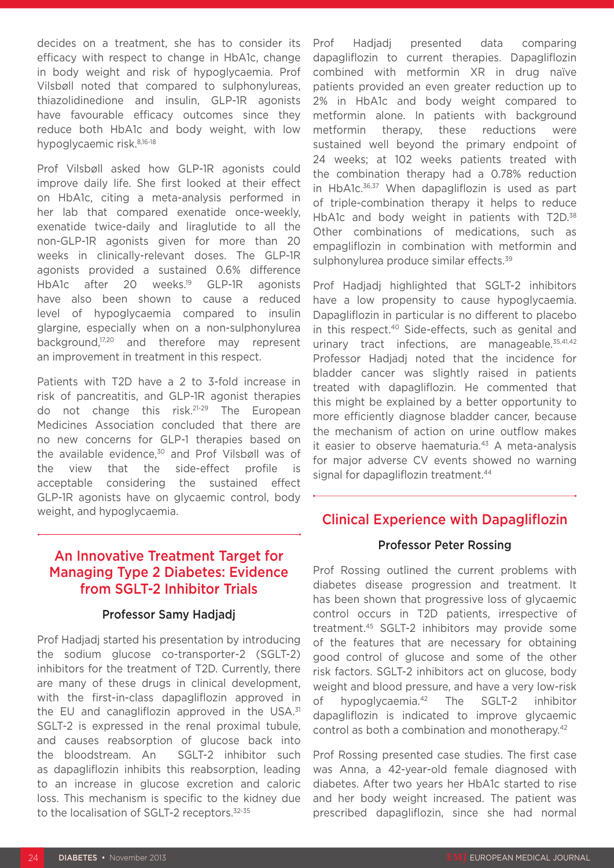decides on a treatment, she has to consider its efficacy with respect to change in HbA1c, change in body weight and risk of hypoglycaemia. Prof Vilsbøll noted that compared to sulphonylureas, thiazolidinedione and insulin, GLP-1R agonists have favourable efficacy outcomes since they reduce both HbA1c and body weight, with low hypoglycaemic risk.8,16-18

Prof Vilsbøll asked how GLP-1R agonists could improve daily life. She first looked at their effect on HbA1c, citing a meta-analysis performed in her lab that compared exenatide once-weekly, exenatide twice-daily and liraglutide to all the non-GLP-1R agonists given for more than 20 weeks in clinically-relevant doses. The GLP-1R agonists provided a sustained 0.6% difference HbA1c after 20 weeks.<sup>19</sup> GLP-1R agonists have also been shown to cause a reduced level of hypoglycaemia compared to insulin glargine, especially when on a non-sulphonylurea background,<sup>17,20</sup> and therefore may represent an improvement in treatment in this respect.

Patients with T2D have a 2 to 3-fold increase in risk of pancreatitis, and GLP-1R agonist therapies do not change this risk.21-29 The European Medicines Association concluded that there are no new concerns for GLP-1 therapies based on the available evidence,<sup>30</sup> and Prof Vilsbøll was of the view that the side-effect profile is acceptable considering the sustained effect GLP-1R agonists have on glycaemic control, body weight, and hypoglycaemia.

### An Innovative Treatment Target for Managing Type 2 Diabetes: Evidence from SGLT-2 Inhibitor Trials

#### Professor Samy Hadjadj

Prof Hadjadj started his presentation by introducing the sodium glucose co-transporter-2 (SGLT-2) inhibitors for the treatment of T2D. Currently, there are many of these drugs in clinical development, with the first-in-class dapagliflozin approved in the EU and canagliflozin approved in the USA. $31$ SGLT-2 is expressed in the renal proximal tubule, and causes reabsorption of glucose back into the bloodstream. An SGLT-2 inhibitor such as dapagliflozin inhibits this reabsorption, leading to an increase in glucose excretion and caloric loss. This mechanism is specific to the kidney due to the localisation of SGLT-2 receptors.<sup>32-35</sup>

Prof Hadjadj presented data comparing dapagliflozin to current therapies. Dapagliflozin combined with metformin XR in drug naïve patients provided an even greater reduction up to 2% in HbA1c and body weight compared to metformin alone. In patients with background metformin therapy, these reductions were sustained well beyond the primary endpoint of 24 weeks; at 102 weeks patients treated with the combination therapy had a 0.78% reduction in HbA1c.<sup>36,37</sup> When dapagliflozin is used as part of triple-combination therapy it helps to reduce HbA1c and body weight in patients with T2D.<sup>38</sup> Other combinations of medications, such as empagliflozin in combination with metformin and sulphonylurea produce similar effects.<sup>39</sup>

Prof Hadjadj highlighted that SGLT-2 inhibitors have a low propensity to cause hypoglycaemia. Dapagliflozin in particular is no different to placebo in this respect.<sup>40</sup> Side-effects, such as genital and urinary tract infections, are manageable.<sup>35,41,42</sup> Professor Hadjadj noted that the incidence for bladder cancer was slightly raised in patients treated with dapagliflozin. He commented that this might be explained by a better opportunity to more efficiently diagnose bladder cancer, because the mechanism of action on urine outflow makes it easier to observe haematuria.<sup>43</sup> A meta-analysis for major adverse CV events showed no warning signal for dapagliflozin treatment.<sup>44</sup>

### Clinical Experience with Dapagliflozin

#### Professor Peter Rossing

Prof Rossing outlined the current problems with diabetes disease progression and treatment. It has been shown that progressive loss of glycaemic control occurs in T2D patients, irrespective of treatment.45 SGLT-2 inhibitors may provide some of the features that are necessary for obtaining good control of glucose and some of the other risk factors. SGLT-2 inhibitors act on glucose, body weight and blood pressure, and have a very low-risk of hypoglycaemia.42 The SGLT-2 inhibitor dapagliflozin is indicated to improve glycaemic control as both a combination and monotherapy.<sup>42</sup>

Prof Rossing presented case studies. The first case was Anna, a 42-year-old female diagnosed with diabetes. After two years her HbA1c started to rise and her body weight increased. The patient was prescribed dapagliflozin, since she had normal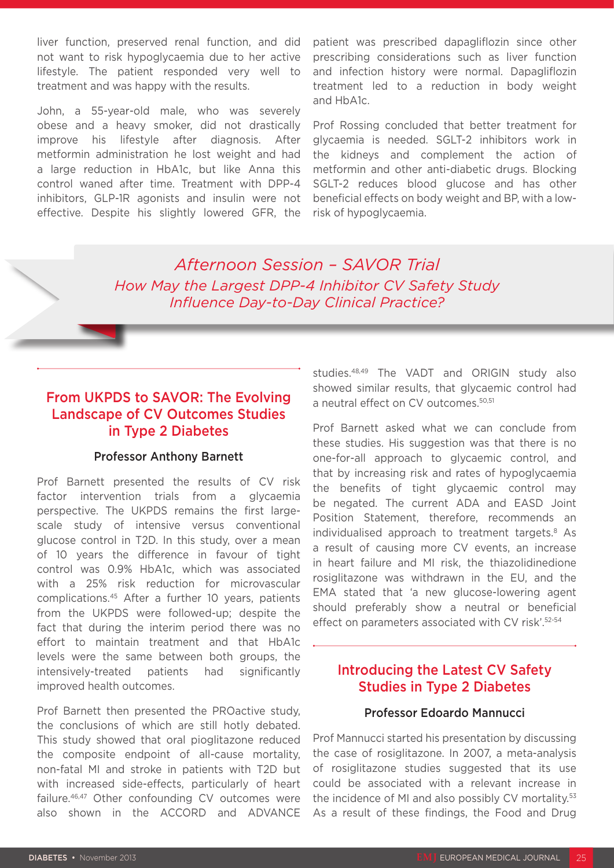liver function, preserved renal function, and did not want to risk hypoglycaemia due to her active lifestyle. The patient responded very well to treatment and was happy with the results.

John, a 55-year-old male, who was severely obese and a heavy smoker, did not drastically improve his lifestyle after diagnosis. After metformin administration he lost weight and had a large reduction in HbA1c, but like Anna this control waned after time. Treatment with DPP-4 inhibitors, GLP-1R agonists and insulin were not effective. Despite his slightly lowered GFR, the

patient was prescribed dapagliflozin since other prescribing considerations such as liver function and infection history were normal. Dapagliflozin treatment led to a reduction in body weight and HbA1c.

Prof Rossing concluded that better treatment for glycaemia is needed. SGLT-2 inhibitors work in the kidneys and complement the action of metformin and other anti-diabetic drugs. Blocking SGLT-2 reduces blood glucose and has other beneficial effects on body weight and BP, with a lowrisk of hypoglycaemia.

*Afternoon Session – SAVOR Trial How May the Largest DPP-4 Inhibitor CV Safety Study Influence Day-to-Day Clinical Practice?*

### From UKPDS to SAVOR: The Evolving Landscape of CV Outcomes Studies in Type 2 Diabetes

#### Professor Anthony Barnett

Prof Barnett presented the results of CV risk factor intervention trials from a glycaemia perspective. The UKPDS remains the first largescale study of intensive versus conventional glucose control in T2D. In this study, over a mean of 10 years the difference in favour of tight control was 0.9% HbA1c, which was associated with a 25% risk reduction for microvascular complications.45 After a further 10 years, patients from the UKPDS were followed-up; despite the fact that during the interim period there was no effort to maintain treatment and that HbA1c levels were the same between both groups, the intensively-treated patients had significantly improved health outcomes.

Prof Barnett then presented the PROactive study, the conclusions of which are still hotly debated. This study showed that oral pioglitazone reduced the composite endpoint of all-cause mortality, non-fatal MI and stroke in patients with T2D but with increased side-effects, particularly of heart failure.<sup>46,47</sup> Other confounding CV outcomes were also shown in the ACCORD and ADVANCE studies.48,49 The VADT and ORIGIN study also showed similar results, that glycaemic control had a neutral effect on CV outcomes.<sup>50,51</sup>

Prof Barnett asked what we can conclude from these studies. His suggestion was that there is no one-for-all approach to glycaemic control, and that by increasing risk and rates of hypoglycaemia the benefits of tight glycaemic control may be negated. The current ADA and EASD Joint Position Statement, therefore, recommends an individualised approach to treatment targets.<sup>8</sup> As a result of causing more CV events, an increase in heart failure and MI risk, the thiazolidinedione rosiglitazone was withdrawn in the EU, and the EMA stated that 'a new glucose-lowering agent should preferably show a neutral or beneficial effect on parameters associated with CV risk'.52-54

### Introducing the Latest CV Safety Studies in Type 2 Diabetes

#### Professor Edoardo Mannucci

Prof Mannucci started his presentation by discussing the case of rosiglitazone. In 2007, a meta-analysis of rosiglitazone studies suggested that its use could be associated with a relevant increase in the incidence of MI and also possibly CV mortality.53 As a result of these findings, the Food and Drug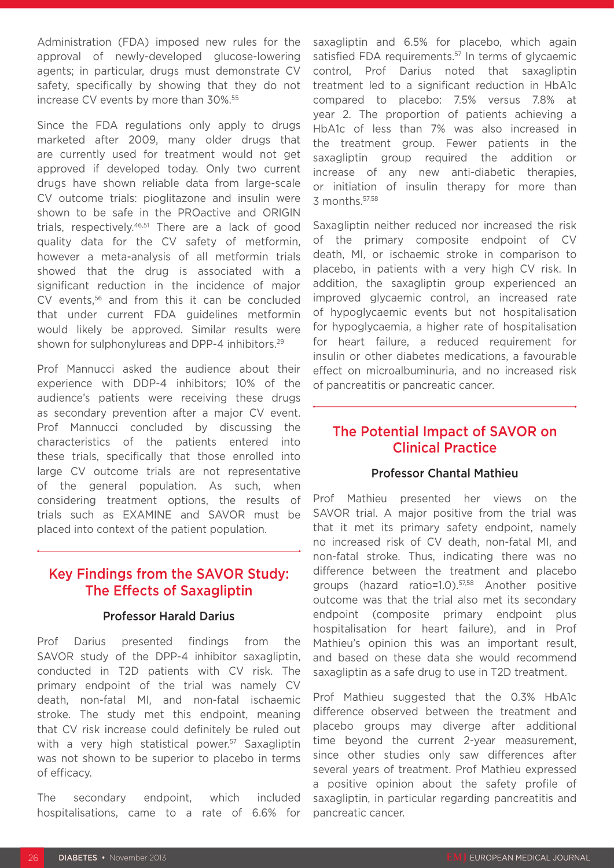Administration (FDA) imposed new rules for the approval of newly-developed glucose-lowering agents; in particular, drugs must demonstrate CV safety, specifically by showing that they do not increase CV events by more than 30%.55

Since the FDA regulations only apply to drugs marketed after 2009, many older drugs that are currently used for treatment would not get approved if developed today. Only two current drugs have shown reliable data from large-scale CV outcome trials: pioglitazone and insulin were shown to be safe in the PROactive and ORIGIN trials, respectively.<sup>46,51</sup> There are a lack of good quality data for the CV safety of metformin, however a meta-analysis of all metformin trials showed that the drug is associated with a significant reduction in the incidence of major CV events,<sup>56</sup> and from this it can be concluded that under current FDA guidelines metformin would likely be approved. Similar results were shown for sulphonylureas and DPP-4 inhibitors.<sup>29</sup>

Prof Mannucci asked the audience about their experience with DDP-4 inhibitors; 10% of the audience's patients were receiving these drugs as secondary prevention after a major CV event. Prof Mannucci concluded by discussing the characteristics of the patients entered into these trials, specifically that those enrolled into large CV outcome trials are not representative of the general population. As such, when considering treatment options, the results of trials such as EXAMINE and SAVOR must be placed into context of the patient population.

### Key Findings from the SAVOR Study: The Effects of Saxagliptin

#### Professor Harald Darius

Prof Darius presented findings from the SAVOR study of the DPP-4 inhibitor saxagliptin, conducted in T2D patients with CV risk. The primary endpoint of the trial was namely CV death, non-fatal MI, and non-fatal ischaemic stroke. The study met this endpoint, meaning that CV risk increase could definitely be ruled out with a very high statistical power.<sup>57</sup> Saxagliptin was not shown to be superior to placebo in terms of efficacy.

The secondary endpoint, which included hospitalisations, came to a rate of 6.6% for saxagliptin and 6.5% for placebo, which again satisfied FDA requirements.<sup>57</sup> In terms of glycaemic control, Prof Darius noted that saxagliptin treatment led to a significant reduction in HbA1c compared to placebo: 7.5% versus 7.8% at year 2. The proportion of patients achieving a HbA1c of less than 7% was also increased in the treatment group. Fewer patients in the saxagliptin group required the addition or increase of any new anti-diabetic therapies, or initiation of insulin therapy for more than 3 months.57,58

Saxagliptin neither reduced nor increased the risk of the primary composite endpoint of CV death, MI, or ischaemic stroke in comparison to placebo, in patients with a very high CV risk. In addition, the saxagliptin group experienced an improved glycaemic control, an increased rate of hypoglycaemic events but not hospitalisation for hypoglycaemia, a higher rate of hospitalisation for heart failure, a reduced requirement for insulin or other diabetes medications, a favourable effect on microalbuminuria, and no increased risk of pancreatitis or pancreatic cancer.

### The Potential Impact of SAVOR on Clinical Practice

#### Professor Chantal Mathieu

Prof Mathieu presented her views on the SAVOR trial. A major positive from the trial was that it met its primary safety endpoint, namely no increased risk of CV death, non-fatal MI, and non-fatal stroke. Thus, indicating there was no difference between the treatment and placebo groups (hazard ratio=1.0).57,58 Another positive outcome was that the trial also met its secondary endpoint (composite primary endpoint plus hospitalisation for heart failure), and in Prof Mathieu's opinion this was an important result, and based on these data she would recommend saxagliptin as a safe drug to use in T2D treatment.

Prof Mathieu suggested that the 0.3% HbA1c difference observed between the treatment and placebo groups may diverge after additional time beyond the current 2-year measurement, since other studies only saw differences after several years of treatment. Prof Mathieu expressed a positive opinion about the safety profile of saxagliptin, in particular regarding pancreatitis and pancreatic cancer.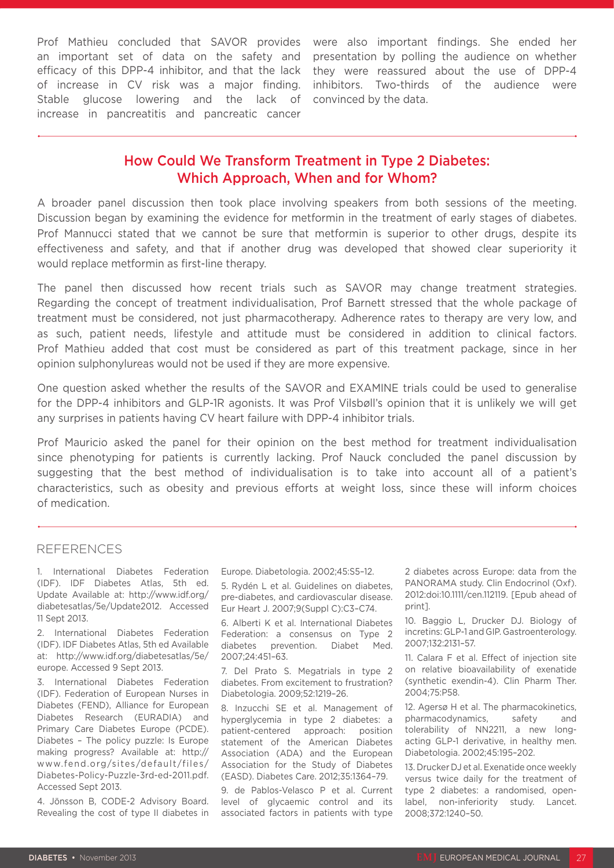Prof Mathieu concluded that SAVOR provides were also important findings. She ended her an important set of data on the safety and efficacy of this DPP-4 inhibitor, and that the lack of increase in CV risk was a major finding. Stable glucose lowering and the lack of increase in pancreatitis and pancreatic cancer

presentation by polling the audience on whether they were reassured about the use of DPP-4 inhibitors. Two-thirds of the audience were convinced by the data.

### How Could We Transform Treatment in Type 2 Diabetes: Which Approach, When and for Whom?

A broader panel discussion then took place involving speakers from both sessions of the meeting. Discussion began by examining the evidence for metformin in the treatment of early stages of diabetes. Prof Mannucci stated that we cannot be sure that metformin is superior to other drugs, despite its effectiveness and safety, and that if another drug was developed that showed clear superiority it would replace metformin as first-line therapy.

The panel then discussed how recent trials such as SAVOR may change treatment strategies. Regarding the concept of treatment individualisation, Prof Barnett stressed that the whole package of treatment must be considered, not just pharmacotherapy. Adherence rates to therapy are very low, and as such, patient needs, lifestyle and attitude must be considered in addition to clinical factors. Prof Mathieu added that cost must be considered as part of this treatment package, since in her opinion sulphonylureas would not be used if they are more expensive.

One question asked whether the results of the SAVOR and EXAMINE trials could be used to generalise for the DPP-4 inhibitors and GLP-1R agonists. It was Prof Vilsbøll's opinion that it is unlikely we will get any surprises in patients having CV heart failure with DPP-4 inhibitor trials.

Prof Mauricio asked the panel for their opinion on the best method for treatment individualisation since phenotyping for patients is currently lacking. Prof Nauck concluded the panel discussion by suggesting that the best method of individualisation is to take into account all of a patient's characteristics, such as obesity and previous efforts at weight loss, since these will inform choices of medication.

#### REFERENCES

1. International Diabetes Federation (IDF). IDF Diabetes Atlas, 5th ed. Update Available at: http://www.idf.org/ diabetesatlas/5e/Update2012. Accessed 11 Sept 2013.

2. International Diabetes Federation (IDF). IDF Diabetes Atlas, 5th ed Available at: http://www.idf.org/diabetesatlas/5e/ europe. Accessed 9 Sept 2013.

3. International Diabetes Federation (IDF). Federation of European Nurses in Diabetes (FEND), Alliance for European Diabetes Research (EURADIA) and Primary Care Diabetes Europe (PCDE). Diabetes – The policy puzzle: Is Europe making progress? Available at: http:// www.fend.org/sites/default/files/ Diabetes-Policy-Puzzle-3rd-ed-2011.pdf. Accessed Sept 2013.

4. Jönsson B, CODE-2 Advisory Board. Revealing the cost of type II diabetes in

Europe. Diabetologia. 2002;45:S5–12.

5. Rydén L et al. Guidelines on diabetes, pre-diabetes, and cardiovascular disease. Eur Heart J. 2007;9(Suppl C):C3–C74.

6. Alberti K et al. International Diabetes Federation: a consensus on Type 2 diabetes prevention. Diabet Med. 2007;24:451–63.

7. Del Prato S. Megatrials in type 2 diabetes. From excitement to frustration? Diabetologia. 2009;52:1219–26.

8. Inzucchi SE et al. Management of hyperglycemia in type 2 diabetes: a patient-centered approach: position statement of the American Diabetes Association (ADA) and the European Association for the Study of Diabetes (EASD). Diabetes Care. 2012;35:1364–79.

9. de Pablos-Velasco P et al. Current level of glycaemic control and its associated factors in patients with type

2 diabetes across Europe: data from the PANORAMA study. Clin Endocrinol (Oxf). 2012:doi:10.1111/cen.112119. [Epub ahead of print].

10. Baggio L, Drucker DJ. Biology of incretins: GLP-1 and GIP. Gastroenterology. 2007;132:2131–57.

11. Calara F et al. Effect of injection site on relative bioavailability of exenatide (synthetic exendin-4). Clin Pharm Ther. 2004;75:P58.

12. Agersø H et al. The pharmacokinetics, pharmacodynamics, safety and tolerability of NN2211, a new longacting GLP-1 derivative, in healthy men. Diabetologia. 2002;45:195–202.

13. Drucker DJ et al. Exenatide once weekly versus twice daily for the treatment of type 2 diabetes: a randomised, openlabel, non-inferiority study. Lancet. 2008;372:1240–50.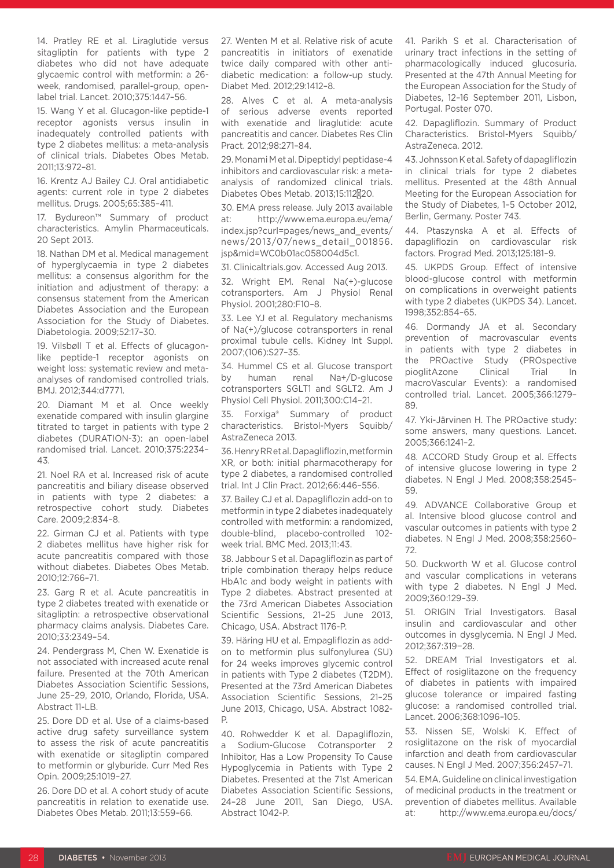14. Pratley RE et al. Liraglutide versus sitagliptin for patients with type 2 diabetes who did not have adequate glycaemic control with metformin: a 26 week, randomised, parallel-group, openlabel trial. Lancet. 2010;375:1447–56.

15. Wang Y et al. Glucagon-like peptide-1 receptor agonists versus insulin in inadequately controlled patients with type 2 diabetes mellitus: a meta-analysis of clinical trials. Diabetes Obes Metab. 2011;13:972–81.

16. Krentz AJ Bailey CJ. Oral antidiabetic agents: current role in type 2 diabetes mellitus. Drugs. 2005;65:385–411.

17. Bydureon™ Summary of product characteristics. Amylin Pharmaceuticals. 20 Sept 2013.

18. Nathan DM et al. Medical management of hyperglycaemia in type 2 diabetes mellitus: a consensus algorithm for the initiation and adjustment of therapy: a consensus statement from the American Diabetes Association and the European Association for the Study of Diabetes. Diabetologia. 2009;52:17–30.

19. Vilsbøll T et al. Effects of glucagonlike peptide-1 receptor agonists on weight loss: systematic review and metaanalyses of randomised controlled trials. BMJ. 2012;344:d7771.

20. Diamant M et al. Once weekly exenatide compared with insulin glargine titrated to target in patients with type 2 diabetes (DURATION-3): an open-label randomised trial. Lancet. 2010;375:2234– 43.

21. Noel RA et al. Increased risk of acute pancreatitis and biliary disease observed in patients with type 2 diabetes: a retrospective cohort study. Diabetes Care. 2009;2:834–8.

22. Girman CJ et al. Patients with type 2 diabetes mellitus have higher risk for acute pancreatitis compared with those without diabetes. Diabetes Obes Metab. 2010;12:766–71.

23. Garg R et al. Acute pancreatitis in type 2 diabetes treated with exenatide or sitagliptin: a retrospective observational pharmacy claims analysis. Diabetes Care. 2010;33:2349–54.

24. Pendergrass M, Chen W. Exenatide is not associated with increased acute renal failure. Presented at the 70th American Diabetes Association Scientific Sessions, June 25–29, 2010, Orlando, Florida, USA. Abstract 11-LB.

25. Dore DD et al. Use of a claims-based active drug safety surveillance system to assess the risk of acute pancreatitis with exenatide or sitagliptin compared to metformin or glyburide. Curr Med Res Opin. 2009;25:1019–27.

26. Dore DD et al. A cohort study of acute pancreatitis in relation to exenatide use. Diabetes Obes Metab. 2011;13:559–66.

27. Wenten M et al. Relative risk of acute pancreatitis in initiators of exenatide twice daily compared with other antidiabetic medication: a follow-up study. Diabet Med. 2012;29:1412–8.

28. Alves C et al. A meta-analysis of serious adverse events reported with exenatide and liraglutide: acute pancreatitis and cancer. Diabetes Res Clin Pract. 2012;98:271–84.

29. Monami M et al. Dipeptidyl peptidase-4 inhibitors and cardiovascular risk: a metaanalysis of randomized clinical trials. Diabetes Obes Metab. 2013;15:112\20.

30. EMA press release. July 2013 available at: http://www.ema.europa.eu/ema/ index.jsp?curl=pages/news\_and\_events/ news/2013/07/news\_detail\_001856. jsp&mid=WC0b01ac058004d5c1.

31. Clinicaltrials.gov. Accessed Aug 2013.

32. Wright EM. Renal Na(+)-glucose cotransporters. Am J Physiol Renal Physiol. 2001;280:F10–8.

33. Lee YJ et al. Regulatory mechanisms of Na(+)/glucose cotransporters in renal proximal tubule cells. Kidney Int Suppl. 2007;(106):S27–35.

34. Hummel CS et al. Glucose transport by human renal Na+/D-glucose cotransporters SGLT1 and SGLT2. Am J Physiol Cell Physiol. 2011;300:C14–21.

35. Forxiga® Summary of product characteristics. Bristol-Myers Squibb/ AstraZeneca 2013.

36. Henry RR et al. Dapagliflozin, metformin XR, or both: initial pharmacotherapy for type 2 diabetes, a randomised controlled trial. Int J Clin Pract. 2012;66:446–556.

37. Bailey CJ et al. Dapagliflozin add-on to metformin in type 2 diabetes inadequately controlled with metformin: a randomized, double-blind, placebo-controlled 102 week trial. BMC Med. 2013;11:43.

38. Jabbour S et al. Dapagliflozin as part of triple combination therapy helps reduce HbA1c and body weight in patients with Type 2 diabetes. Abstract presented at the 73rd American Diabetes Association Scientific Sessions, 21–25 June 2013, Chicago, USA. Abstract 1176-P.

39. Häring HU et al. Empagliflozin as addon to metformin plus sulfonylurea (SU) for 24 weeks improves glycemic control in patients with Type 2 diabetes (T2DM). Presented at the 73rd American Diabetes Association Scientific Sessions, 21–25 June 2013, Chicago, USA. Abstract 1082- P.

40. Rohwedder K et al. Dapagliflozin, a Sodium-Glucose Cotransporter 2 Inhibitor, Has a Low Propensity To Cause Hypoglycemia in Patients with Type 2 Diabetes. Presented at the 71st American Diabetes Association Scientific Sessions, 24–28 June 2011, San Diego, USA. Abstract 1042-P.

41. Parikh S et al. Characterisation of urinary tract infections in the setting of pharmacologically induced glucosuria. Presented at the 47th Annual Meeting for the European Association for the Study of Diabetes, 12–16 September 2011, Lisbon, Portugal. Poster 070.

42. Dapagliflozin. Summary of Product Characteristics. Bristol-Myers Squibb/ AstraZeneca. 2012.

43. Johnsson K et al. Safety of dapagliflozin in clinical trials for type 2 diabetes mellitus. Presented at the 48th Annual Meeting for the European Association for the Study of Diabetes, 1–5 October 2012, Berlin, Germany. Poster 743.

44. Ptaszynska A et al. Effects of dapagliflozin on cardiovascular risk factors. Prograd Med. 2013;125:181–9.

45. UKPDS Group. Effect of intensive blood-glucose control with metformin on complications in overweight patients with type 2 diabetes (UKPDS 34). Lancet. 1998;352:854–65.

46. Dormandy JA et al. Secondary prevention of macrovascular events in patients with type 2 diabetes in the PROactive Study (PROspective pioglitAzone Clinical Trial In macroVascular Events): a randomised controlled trial. Lancet. 2005;366:1279– 89.

47. Yki-Järvinen H. The PROactive study: some answers, many questions. Lancet. 2005;366:1241–2.

48. ACCORD Study Group et al. Effects of intensive glucose lowering in type 2 diabetes. N Engl J Med. 2008;358:2545– 59.

49. ADVANCE Collaborative Group et al. Intensive blood glucose control and vascular outcomes in patients with type 2 diabetes. N Engl J Med. 2008;358:2560– 72.

50. Duckworth W et al. Glucose control and vascular complications in veterans with type 2 diabetes. N Engl J Med. 2009;360:129–39.

51. ORIGIN Trial Investigators. Basal insulin and cardiovascular and other outcomes in dysglycemia. N Engl J Med. 2012;367:319−28.

52. DREAM Trial Investigators et al. Effect of rosiglitazone on the frequency of diabetes in patients with impaired glucose tolerance or impaired fasting glucose: a randomised controlled trial. Lancet. 2006;368:1096–105.

53. Nissen SE, Wolski K. Effect of rosiglitazone on the risk of myocardial infarction and death from cardiovascular causes. N Engl J Med. 2007;356:2457–71.

54. EMA. Guideline on clinical investigation of medicinal products in the treatment or prevention of diabetes mellitus. Available at: http://www.ema.europa.eu/docs/